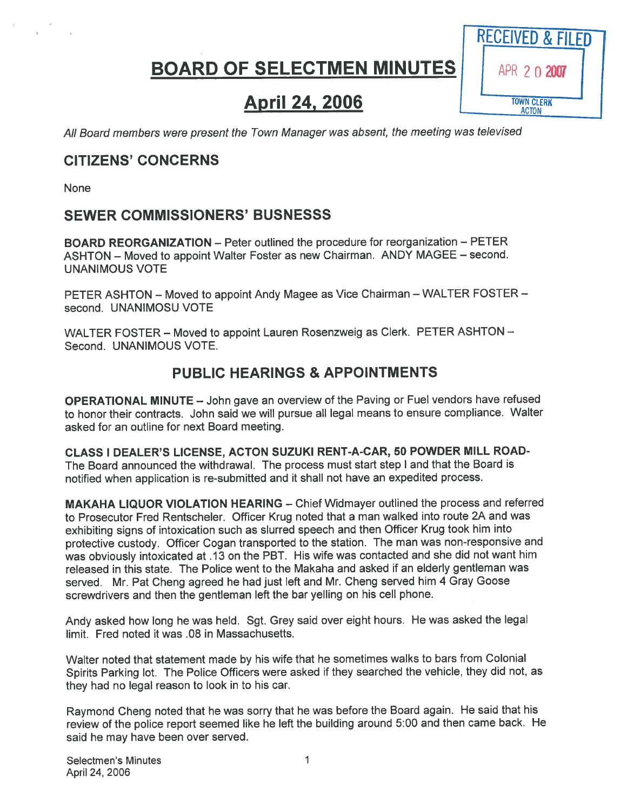# BOARD OF SELECTMEN MINUTES | APR 2 0 2007



# **April 24, 2006** TOWN CLERK

All Board members were presen<sup>t</sup> the Town Manager was absent, the meeting was televised

## CITIZENS' CONCERNS

None

## SEWER COMMISSIONERS' BUSNESSS

BOARD REORGANIZATION — Peter outlined the procedure for reorganization — PETER ASHTON — Moved to appoint Walter Foster as new Chairman. ANDY MAGEE — second. UNANIMOUS VOTE

PETER ASHTON — Moved to appoint Andy Magee as Vice Chairman — WALTER FOSTER second. UNANIMOSU VOTE

WALTER FOSTER - Moved to appoint Lauren Rosenzweig as Clerk. PETER ASHTON -Second. UNANIMOUS VOTE.

## PUBLIC HEARINGS & APPOINTMENTS

OPERATIONAL MINUTE — John gave an overview of the Paving or Fuel vendors have refused to honor their contracts. John said we will pursue all legal means to ensure compliance. Walter asked for an outline for next Board meeting.

CLASS I DEALER'S LICENSE, ACTON SUZUKI RENT-A-CAR, 50 POWDER MILL ROAD-The Board announced the withdrawal. The process must start step <sup>I</sup> and that the Board is notified when application is re-submitted and it shall not have an expedited process.

MAKAHA LIQUOR VIOLATION HEARING — Chief Widmayer outlined the process and referred to Prosecutor Fred Rentscheler. Officer Krug noted that <sup>a</sup> man walked into route 2A and was exhibiting signs of intoxication such as slurred speec<sup>h</sup> and then Officer Krug took him into protective custody. Officer Cogan transported to the station. The man was non-responsive and was obviously intoxicated at .13 on the PBT. His wife was contacted and she did not want him released in this state. The Police went to the Makaha and asked if an elderly gentleman was served. Mr. Pat Cheng agree<sup>d</sup> he had just left and Mr. Cheng served him <sup>4</sup> Gray Goose screwdrivers and then the gentleman left the bar yelling on his cell phone.

Andy asked how long he was held. Sgt. Grey said over eight hours. He was asked the legal limit. Fred noted it was .08 in Massachusetts.

Walter noted that statement made by his wife that he sometimes walks to bars from Colonial Spirits Parking lot. The Police Officers were asked if they searched the vehicle, they did not, as they had no legal reason to look in to his car.

Raymond Cheng noted that he was sorry that he was before the Board again. He said that his review of the police repor<sup>t</sup> seemed like he left the building around 5:00 and then came back. He said he may have been over served.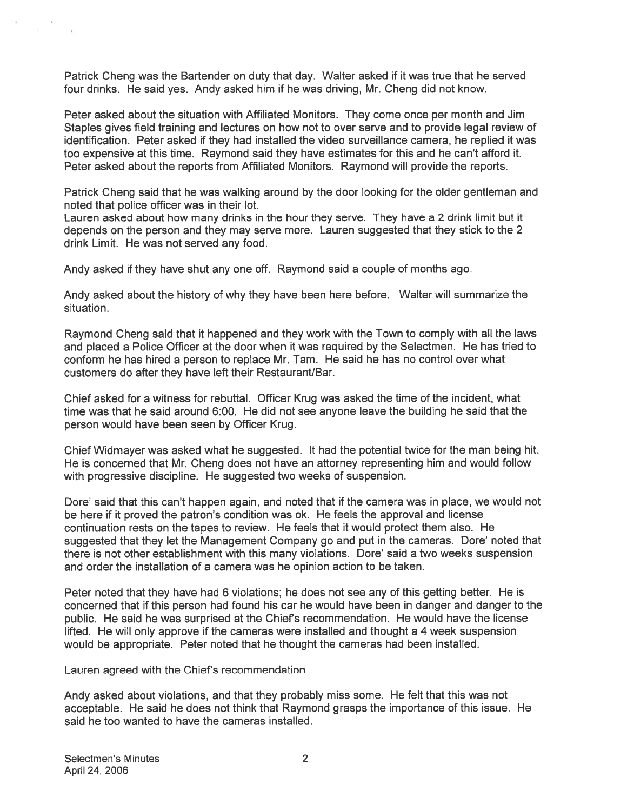Patrick Cheng was the Bartender on duty that day. Walter asked if it was true that he served four drinks. He said yes. Andy asked him if he was driving, Mr. Cheng did not know.

Peter asked about the situation with Affiliated Monitors. They come once per month and Jim Staples gives field training and lectures on how not to over serve and to provide legal review of identification. Peter asked if they had installed the video surveillance camera, he replied it was too expensive at this time. Raymond said they have estimates for this and he can't afford it. Peter asked about the reports from Affiliated Monitors. Raymond will provide the reports.

Patrick Cheng said that he was walking around by the door looking for the older gentleman and noted that police officer was in their lot.

Lauren asked about how many drinks in the hour they serve. They have <sup>a</sup> 2 drink limit but it depends on the person and they may serve more. Lauren suggested that they stick to the 2 drink Limit. He was not served any food.

Andy asked if they have shut any one off. Raymond said <sup>a</sup> couple of months ago.

Andy asked about the history of why they have been here before. Walter will summarize the situation.

Raymond Cheng said that it happened and they work with the Town to comply with all the laws and placed <sup>a</sup> Police Officer at the door when it was required by the Selectmen. He has tried to conform he has hired <sup>a</sup> person to replace Mr. Tam. He said he has no control over what customers do after they have left their Restaurant/Bar.

Chief asked for <sup>a</sup> witness for rebuttal. Officer Krug was asked the time of the incident, what time was that he said around 6:00. He did not see anyone leave the building he said that the person would have been seen by Officer Krug.

Chief Widmayer was asked what he suggested. It had the potential twice for the man being hit. He is concerned that Mr. Cheng does not have an attorney representing him and would follow with progressive discipline. He suggested two weeks of suspension.

Dore' said that this can't happen again, and noted that if the camera was in place, we would not be here if it proved the patron's condition was ok. He feels the approval and license continuation rests on the tapes to review. He feels that it would protect them also. He suggested that they let the Management Company go and pu<sup>t</sup> in the cameras. Dore' noted that there is not other establishment with this many violations. Dore' said <sup>a</sup> two weeks suspension and order the installation of <sup>a</sup> camera was he opinion action to be taken.

Peter noted that they have had 6 violations; he does not see any of this getting better. He is concerned that if this person had found his car he would have been in danger and danger to the public. He said he was surprised at the Chief's recommendation. He would have the license lifted. He will only approve if the cameras were installed and thought <sup>a</sup> 4 week suspension would be appropriate. Peter noted that he thought the cameras had been installed.

Lauren agreed with the Chief's recommendation.

Andy asked about violations, and that they probably miss some. He felt that this was not acceptable. He said he does not think that Raymond grasps the importance of this issue. He said he too wanted to have the cameras installed.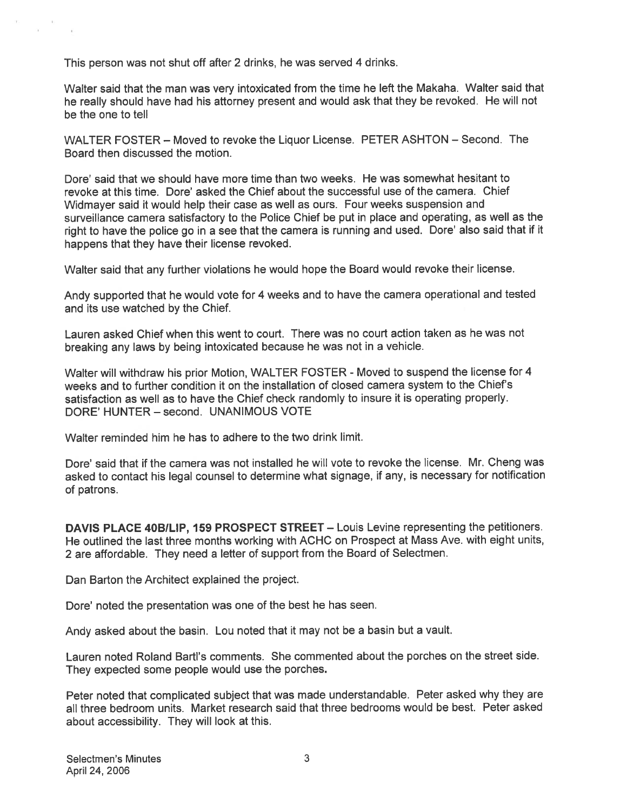This person was not shut off after 2 drinks, he was served 4 drinks.

Walter said that the man was very intoxicated from the time he left the Makaha. Walter said that he really should have had his attorney presen<sup>t</sup> and would ask that they be revoked. He will not be the one to tell

WALTER FOSTER — Moved to revoke the Liquor License. PETER ASHTON — Second. The Board then discussed the motion.

Dore' said that we should have more time than two weeks. He was somewhat hesitant to revoke at this time. Dore' asked the Chief about the successful use of the camera. Chief Widmayer said it would help their case as well as ours. Four weeks suspension and surveillance camera satisfactory to the Police Chief be pu<sup>t</sup> in <sup>p</sup>lace and operating, as well as the right to have the police go in <sup>a</sup> see that the camera is running and used. Dore' also said that if it happens that they have their license revoked.

Walter said that any further violations he would hope the Board would revoke their license.

Andy supported that he would vote for <sup>4</sup> weeks and to have the camera operational and tested and its use watched by the Chief.

Lauren asked Chief when this went to court. There was no court action taken as he was not breaking any laws by being intoxicated because he was not in <sup>a</sup> vehicle.

Walter will withdraw his prior Motion, WALTER FOSTER - Moved to suspen<sup>d</sup> the license for <sup>4</sup> weeks and to further condition it on the installation of closed camera system to the Chief's satisfaction as well as to have the Chief check randomly to insure it is operating properly. DORE' HUNTER — second. UNANIMOUS VOTE

Walter reminded him he has to adhere to the two drink limit.

Dote' said that if the camera was not installed he will vote to revoke the license. Mr. Cheng was asked to contact his legal counsel to determine what signage, if any, is necessary for notification of patrons.

DAVIS PLACE 40B/LIP, 159 PROSPECT STREET - Louis Levine representing the petitioners. He outlined the last three months working with ACHC on Prospect at Mass Ave. with eight units, <sup>2</sup> are affordable. They need <sup>a</sup> letter of suppor<sup>t</sup> from the Board of Selectmen.

Dan Barton the Architect explained the project.

Dore' noted the presentation was one of the best he has seen.

Andy asked about the basin. Lou noted that it may not be <sup>a</sup> basin but <sup>a</sup> vault.

Lauren noted Roland BartI's comments. She commented about the porches on the street side. They expected some people would use the porches.

Peter noted that complicated subject that was made understandable. Peter asked why they are all three bedroom units. Market research said that three bedrooms would be best. Peter asked about accessibility. They will look at this.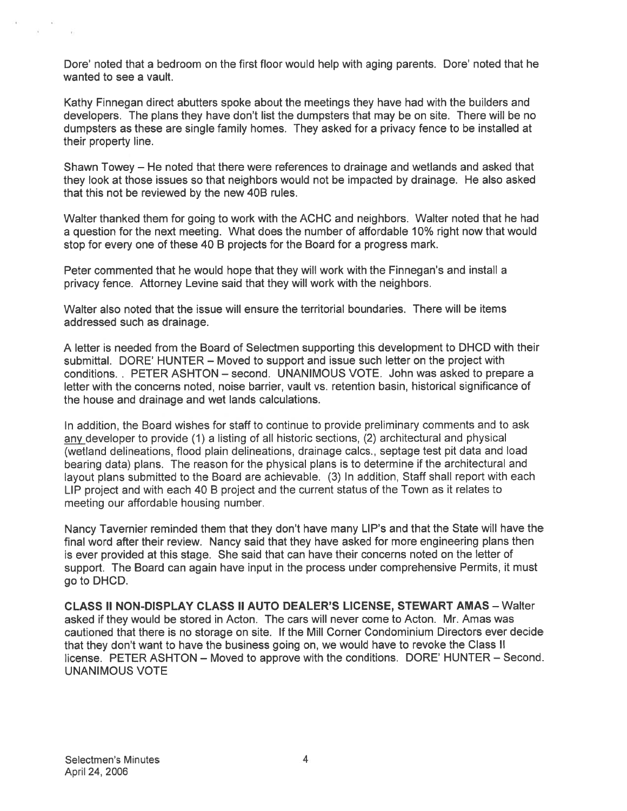Dore' noted that <sup>a</sup> bedroom on the first floor would help with aging parents. Dote' noted that he wanted to see <sup>a</sup> vault.

Kathy Finnegan direct abutters spoke about the meetings they have had with the builders and developers. The plans they have don't list the dumpsters that may be on site. There will be no dumpsters as these are single family homes. They asked for <sup>a</sup> privacy fence to be installed at their property line.

Shawn Towey — He noted that there were references to drainage and wetlands and asked that they look at those issues so that neighbors would not be impacted by drainage. He also asked that this not be reviewed by the new 40B rules.

Walter thanked them for going to work with the ACHC and neighbors. Walter noted that he had <sup>a</sup> question for the next meeting. What does the number of affordable 10% right now that would stop for every one of these 40 B projects for the Board for <sup>a</sup> progress mark.

Peter commented that he would hope that they will work with the Finnegan's and install <sup>a</sup> privacy fence. Attorney Levine said that they will work with the neighbors.

Walter also noted that the issue will ensure the territorial boundaries. There will be items addressed such as drainage.

A letter is needed from the Board of Selectmen supporting this development to DHCD with their submittal. DORE' HUNTER — Moved to suppor<sup>t</sup> and issue such letter on the project with conditions. . PETER ASHTON — second. UNANIMOUS VOTE. John was asked to prepare <sup>a</sup> letter with the concerns noted, noise barrier, vault vs. retention basin, historical significance of the house and drainage and wet lands calculations.

In addition, the Board wishes for staff to continue to provide preliminary comments and to ask any developer to provide (1) a listing of all historic sections, (2) architectural and physical (wetland delineations, flood plain delineations, drainage caics., septage test pit data and load bearing data) <sup>p</sup>lans. The reason for the <sup>p</sup>hysical <sup>p</sup>lans is to determine if the architectural and layout <sup>p</sup>lans submitted to the Board are achievable. (3) In addition, Staff shall repor<sup>t</sup> with each LIP project and with each 40 B project and the current status of the Town as it relates to meeting our affordable housing number.

Nancy Tavernier reminded them that they don't have many LIP's and that the State will have the final word after their review. Nancy said that they have asked for more engineering plans then is ever provided at this stage. She said that can have their concerns noted on the letter of support. The Board can again have input in the process under comprehensive Permits, it must go to DHCD.

CLASS II NON-DISPLAY CLASS II AUTO DEALER'S LICENSE, STEWART AMAS — Walter asked if they would be stored in Acton. The cars will never come to Acton. Mr. Amas was cautioned that there is no storage on site. If the Mill Corner Condominium Directors ever decide that they don't want to have the business going on, we would have to revoke the Class II license. PETER ASHTON – Moved to approve with the conditions. DORE' HUNTER – Second. UNANIMOUS VOTE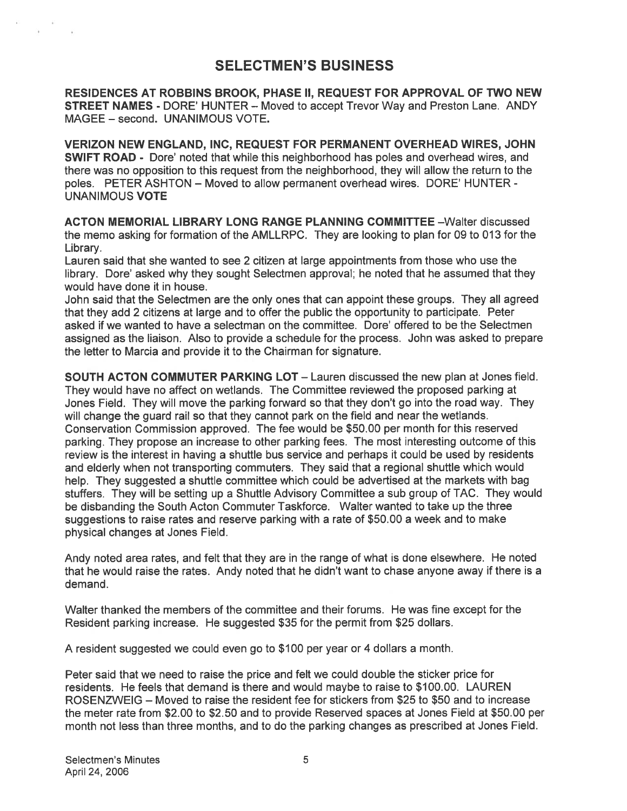## SELECTMEN'S BUSINESS

RESIDENCES AT ROBBINS BROOK, PHASE II, REQUEST FOR APPROVAL OF TWO NEW STREET NAMES - DORE' HUNTER — Moved to accep<sup>t</sup> Trevor Way and Preston Lane. ANDY MAGEE — second. UNANIMOUS VOTE.

VERIZON NEW ENGLAND, INC, REQUEST FOR PERMANENT OVERHEAD WIRES, JOHN SWIFT ROAD - Dote' noted that while this neighborhood has poles and overhead wires, and there was no opposition to this reques<sup>t</sup> from the neighborhood, they will allow the return to the poles. PETER ASHTON — Moved to allow permanen<sup>t</sup> overhead wires. DORE' HUNTER - UNANIMOUS VOTE

ACTON MEMORIAL LIBRARY LONG RANGE PLANNING COMMITTEE —Walter discussed the memo asking for formation of the AMLLRPC. They are looking to plan for 09 to 013 for the Library.

Lauren said that she wanted to see 2 citizen at large appointments from those who use the library. Dore' asked why they sought Selectmen approval; he noted that he assumed that they would have done it in house.

John said that the Selectmen are the only ones that can appoint these groups. They all agreed that they add 2 citizens at large and to offer the public the opportunity to participate. Peter asked if we wanted to have <sup>a</sup> selectman on the committee. Dore' offered to be the Selectmen assigned as the liaison. Also to provide <sup>a</sup> schedule for the process. John was asked to prepare the letter to Marcia and provide it to the Chairman for signature.

SOUTH ACTON COMMUTER PARKING LOT — Lauren discussed the new plan at Jones field. They would have no affect on wetlands. The Committee reviewed the proposed parking at Jones Field. They will move the parking forward so that they don't go into the road way. They will change the guard rail so that they cannot park on the field and near the wetlands. Conservation Commission approved. The fee would be \$50.00 per month for this reserved parking. They propose an increase to other parking fees. The most interesting outcome of this review is the interest in having <sup>a</sup> shuttle bus service and perhaps it could be used by residents and elderly when not transporting commuters. They said that <sup>a</sup> regional shuttle which would help. They suggested <sup>a</sup> shuttle committee which could be advertised at the markets with bag stuffers. They will be setting up <sup>a</sup> Shuttle Advisory Committee <sup>a</sup> sub group of TAC. They would be disbanding the South Acton Commuter Taskforce. Walter wanted to take up the three suggestions to raise rates and reserve parking with <sup>a</sup> rate of \$50.00 <sup>a</sup> week and to make physical changes at Jones Field.

Andy noted area rates, and felt that they are in the range of what is done elsewhere. He noted that he would raise the rates. Andy noted that he didn't want to chase anyone away if there is <sup>a</sup> demand.

Walter thanked the members of the committee and their forums. He was fine excep<sup>t</sup> for the Resident parking increase. He suggested \$35 for the permit from \$25 dollars.

A resident suggested we could even go to \$100 per year or 4 dollars <sup>a</sup> month.

Peter said that we need to raise the price and felt we could double the sticker price for residents. He feels that demand is there and would maybe to raise to \$100.00. LAUREN ROSENZWEIG — Moved to raise the resident fee for stickers from \$25 to \$50 and to increase the meter rate from \$2.00 to \$2.50 and to provide Reserved spaces at Jones Field at \$50.00 per month not less than three months, and to do the parking changes as prescribed at Jones Field.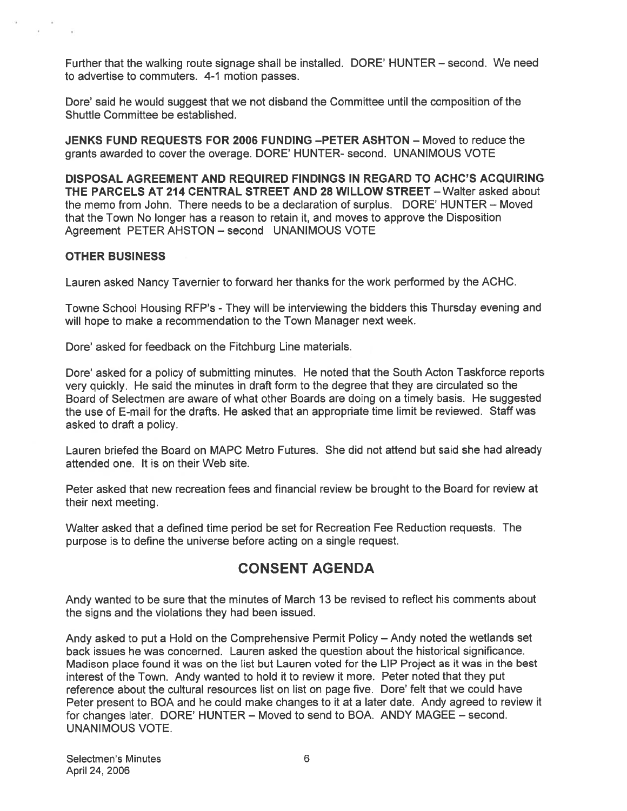Further that the walking route signage shall be installed. DORE' HUNTER — second. We need to advertise to commuters. 4-1 motion passes.

Dote' said he would sugges<sup>t</sup> that we not disband the Committee until the composition of the Shuttle Committee be established.

JENKS FUND REQUESTS FOR 2006 FUNDING —PETER ASHTON — Moved to reduce the grants awarded to cover the overage. DORE' HUNTER- second. UNANIMOUS VOTE

DISPOSAL AGREEMENT AND REQUIRED FINDINGS IN REGARD TO ACHC'S ACQUIRING THE PARCELS AT 214 CENTRAL STREET AND 28 WILLOW STREET - Walter asked about the memo from John. There needs to be <sup>a</sup> declaration of surplus. DORE' HUNTER — Moved that the Town No longer has <sup>a</sup> reason to retain it, and moves to approve the Disposition Agreement PETER AHSTON — second UNANIMOUS VOTE

### OTHER BUSINESS

Lauren asked Nancy Tavernier to forward her thanks for the work performed by the ACHC.

Towne School Housing RFP's - They will be interviewing the bidders this Thursday evening and will hope to make <sup>a</sup> recommendation to the Town Manager next week.

Dore' asked for feedback on the Fitchburg Line materials.

Dore' asked for <sup>a</sup> policy of submitting minutes. He noted that the South Acton Taskforce reports very quickly. He said the minutes in draft form to the degree that they are circulated so the Board of Selectmen are aware of what other Boards are doing on <sup>a</sup> timely basis. He suggested the use of E-mail for the drafts. He asked that an appropriate time limit be reviewed. Staff was asked to draft <sup>a</sup> policy.

Lauren briefed the Board on MAPC Metro Futures. She did not attend but said she had already attended one. It is on their Web site.

Peter asked that new recreation fees and financial review be brought to the Board for review at their next meeting.

Walter asked that <sup>a</sup> defined time period be set for Recreation Fee Reduction requests. The purpose is to define the universe before acting on <sup>a</sup> single request.

## CONSENT AGENDA

Andy wanted to be sure that the minutes of March 13 be revised to reflect his comments about the signs and the violations they had been issued.

Andy asked to pu<sup>t</sup> <sup>a</sup> Hold on the Comprehensive Permit Policy — Andy noted the wetlands set back issues he was concerned. Lauren asked the question about the historical significance. Madison place found it was on the list but Lauren voted for the LIP Project as it was in the best interest of the Town. Andy wanted to hold it to review it more. Peter noted that they pu<sup>t</sup> reference about the cultural resources list on list on page five. Dote' felt that we could have Peter presen<sup>t</sup> to BOA and he could make changes to it at <sup>a</sup> later date. Andy agreed to review it for changes later. DORE' HUNTER — Moved to send to BOA. ANDY MAGEE — second. UNANIMOUS VOTE.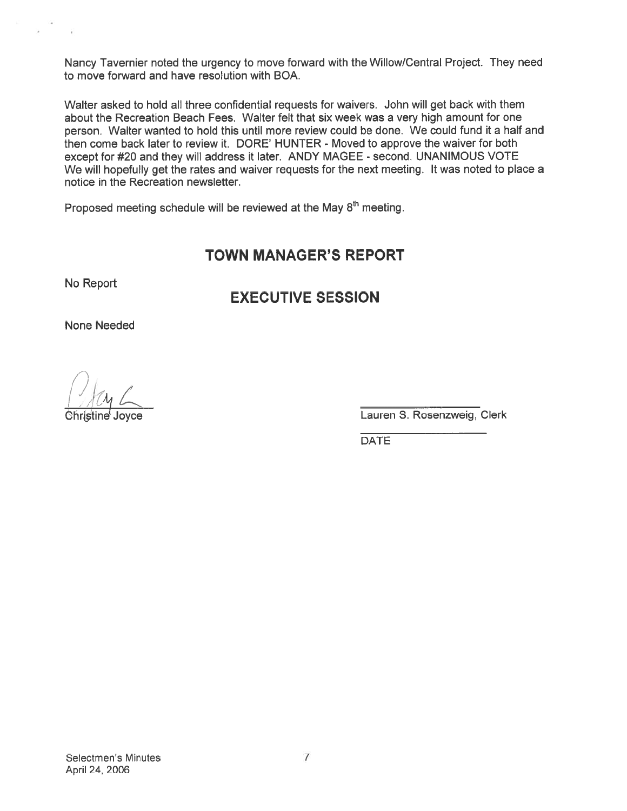Nancy Tavernier noted the urgency to move forward with the Willow/Central Project. They need to move forward and have resolution with BOA.

Walter asked to hold all three confidential requests for waivers. John will ge<sup>t</sup> back with them about the Recreation Beach Fees. Walter felt that six week was <sup>a</sup> very high amount for one person. Walter wanted to hold this until more review could be done. We could fund it <sup>a</sup> half and then come back later to review it. DORE' HUNTER - Moved to approve the waiver for both except for #20 and they will address it later. ANDY MAGEE - second. UNANIMOUS VOTE We will hopefully ge<sup>t</sup> the rates and waiver requests for the next meeting. It was noted to <sup>p</sup>lace <sup>a</sup> notice in the Recreation newsletter. The Network of the matter of the matter of the matter and the Millow Central Project<br>
Matter asked to hold all three confidential requests for waivers. John will get back<br>
bout the Recreation Beach Fees. Walter felt that s

Proposed meeting schedule will be reviewed at the May 8<sup>th</sup> meeting.

## TOWN MANAGER'S REPORT

No Report

## EXECUTIVE SESSION

None Needed

**Christine Joyce Christine Christine Christine Christine Christine Clerk** Lauren S. Rosenzweig, Clerk

**DATE**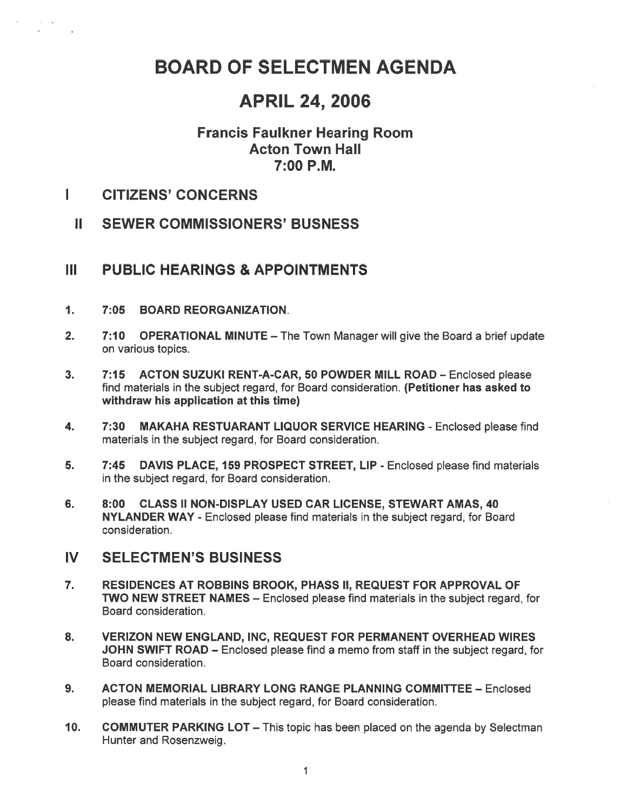## BOARD OF SELECTMEN AGENDA

## APRIL 24, 2006

## Francis Faulkner Hearing Room Acton Town Hall 7:00 P.M.

- I CITIZENS' CONCERNS
	- II SEWER COMMISSIONERS' BUSNESS

## III PUBLIC HEARINGS & APPOINTMENTS

- 1. 7:05 BOARD REORGANIZATION.
- 2. 7:10 OPERATIONAL MINUTE The Town Manager will give the Board a brief update on various topics.
- 3. 7:15 ACTON SUZUKI RENT-A-CAR, 50 POWDER MILL ROAD Enclosed please find materials in the subject regard, for Board consideration. (Petitioner has asked to withdraw his application at this time)
- 4. 7:30 MAKAHA RESTUARANT LIQUOR SERVICE HEARING -Enclosed please find materials in the subject regard, for Board consideration.
- 5. 7:45 DAVIS PLACE, 159 PROSPECT STREET, LIP Enclosed please find materials in the subject regard, for Board consideration.
- 6. 8:00 CLASS II NON-DISPLAY USED CAR LICENSE, STEWART AMAS, 40 NYLANDER WAY - Enclosed please find materials in the subject regard, for Board consideration.
- IV SELECTMEN'S BUSINESS
- 7. RESIDENCES AT ROBBINS BROOK, PHASS II, REQUEST FOR APPROVAL OF TWO NEW STREET NAMES — Enclosed please find materials in the subject regard, for Board consideration.
- 8. VERIZON NEW ENGLAND, INC, REQUEST FOR PERMANENT OVERHEAD WIRES JOHN SWIFT ROAD - Enclosed please find a memo from staff in the subject regard, for Board consideration.
- 9. ACTON MEMORIAL LIBRARY LONG RANGE PLANNING COMMITTEE Enclosed please find materials in the subject regard, for Board consideration.
- 10. COMMUTER PARKING LOT This topic has been placed on the agenda by Selectman Hunter and Rosenzweig.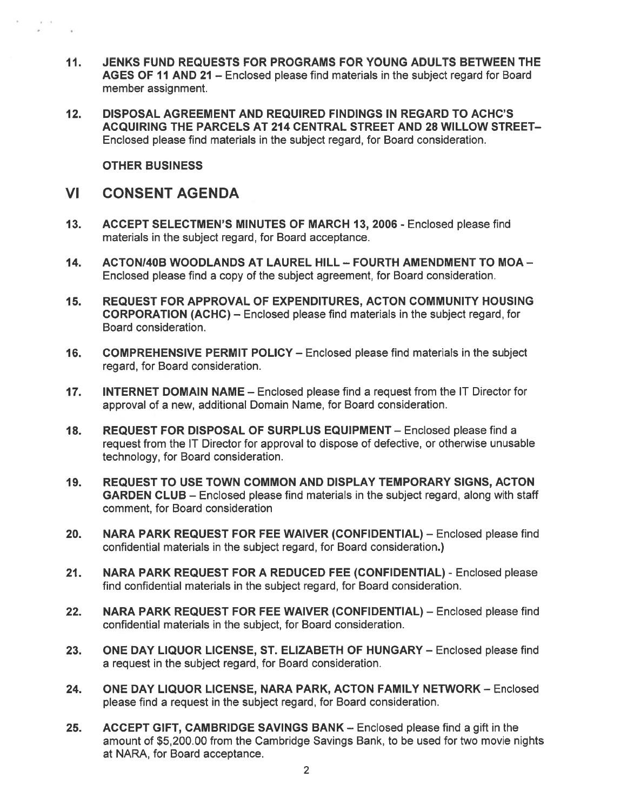- 11. JENKS FUND REQUESTS FOR PROGRAMS FOR YOUNG ADULTS BETWEEN THE AGES OF 11 AND 21 — Enclosed please find materials in the subject regard for Board member assignment.
- 12. DISPOSAL AGREEMENT AND REQUIRED FINDINGS IN REGARD TO ACHC'S ACQUIRING THE PARCELS AT 214 CENTRAL STREET AND 28 WILLOW STREET— Enclosed please find materials in the subject regard, for Board consideration.

OTHER BUSINESS

### VI CONSENT AGENDA

- 13. ACCEPT SELECTMEN'S MINUTES OF MARCH 13, 2006 Enclosed please find materials in the subject regard, for Board acceptance.
- 14. ACTONI4OB WOODLANDS AT LAUREL HILL FOURTH AMENDMENT TO MOA Enclosed please find <sup>a</sup> copy of the subject agreement, for Board consideration.
- 15. REQUEST FOR APPROVAL OF EXPENDITURES, ACTON COMMUNITY HOUSING CORPORATION (ACHC) — Enclosed please find materials in the subject regard, for Board consideration.
- 16. COMPREHENSIVE PERMIT POLICY Enclosed please find materials in the subject regard, for Board consideration.
- 17. INTERNET DOMAIN NAME Enclosed please find <sup>a</sup> reques<sup>t</sup> from the IT Director for approval of <sup>a</sup> new, additional Domain Name, for Board consideration.
- 18. REQUEST FOR DISPOSAL OF SURPLUS EQUIPMENT Enclosed please find <sup>a</sup> reques<sup>t</sup> from the IT Director for approval to dispose of defective, or otherwise unusable technology, for Board consideration.
- 19. REQUEST TO USE TOWN COMMON AND DISPLAY TEMPORARY SIGNS, ACTON GARDEN CLUB — Enclosed please find materials in the subject regard, along with staff comment, for Board consideration
- 20. NARA PARK REQUEST FOR FEE WAIVER (CONFIDENTIAL) Enclosed please find confidential materials in the subject regard, for Board consideration.)
- 21. NARA PARK REQUEST FOR A REDUCED FEE (CONFIDENTIAL) Enclosed please find confidential materials in the subject regard, for Board consideration.
- 22. NARA PARK REQUEST FOR FEE WAIVER (CONFIDENTIAL) Enclosed please find confidential materials in the subject, for Board consideration.
- 23. ONE DAY LIQUOR LICENSE, ST. ELIZABETH OF HUNGARY Enclosed please find <sup>a</sup> reques<sup>t</sup> in the subject regard, for Board consideration.
- 24. ONE DAY LIQUOR LICENSE, NARA PARK, ACTON FAMILY NETWORK Enclosed please find <sup>a</sup> reques<sup>t</sup> in the subject regard, for Board consideration.
- 25. ACCEPT GIFT, CAMBRIDGE SAVINGS BANK Enclosed please find <sup>a</sup> gift in the amount of \$5,200.00 from the Cambridge Savings Bank, to be used for two movie nights at NARA, for Board acceptance.